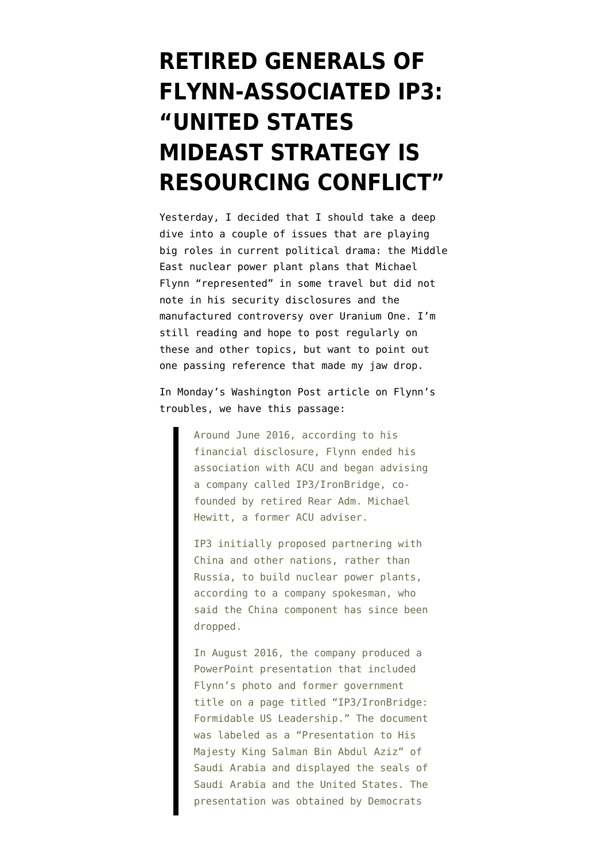## **[RETIRED GENERALS OF](https://www.emptywheel.net/2017/11/29/retired-generals-of-flynn-associated-ip3-united-states-mideast-strategy-is-resourcing-conflict/) [FLYNN-ASSOCIATED IP3:](https://www.emptywheel.net/2017/11/29/retired-generals-of-flynn-associated-ip3-united-states-mideast-strategy-is-resourcing-conflict/) ["UNITED STATES](https://www.emptywheel.net/2017/11/29/retired-generals-of-flynn-associated-ip3-united-states-mideast-strategy-is-resourcing-conflict/) [MIDEAST STRATEGY IS](https://www.emptywheel.net/2017/11/29/retired-generals-of-flynn-associated-ip3-united-states-mideast-strategy-is-resourcing-conflict/) [RESOURCING CONFLICT"](https://www.emptywheel.net/2017/11/29/retired-generals-of-flynn-associated-ip3-united-states-mideast-strategy-is-resourcing-conflict/)**

Yesterday, I decided that I should take a deep dive into a couple of issues that are playing big roles in current political drama: the Middle East nuclear power plant plans that Michael Flynn "represented" in some travel but did not note in his security disclosures and the manufactured controversy over Uranium One. I'm still reading and hope to post regularly on these and other topics, but want to point out one passing reference that made my jaw drop.

In Monday's [Washington Post article](https://www.washingtonpost.com/politics/michael-flynns-role-in-middle-eastern-nuclear-project-could-compound-legal-issues/2017/11/26/51ce7ec8-ce18-11e7-81bc-c55a220c8cbe_story.html?utm_term=.fe13ce47ea4f) on Flynn's troubles, we have this passage:

> Around June 2016, according to his financial disclosure, Flynn ended his association with ACU and began advising a company called IP3/IronBridge, cofounded by retired Rear Adm. Michael Hewitt, a former ACU adviser.

> IP3 initially proposed partnering with China and other nations, rather than Russia, to build nuclear power plants, according to a company spokesman, who said the China component has since been dropped.

> In August 2016, the company produced a PowerPoint presentation that included Flynn's photo and former government title on a page titled "IP3/IronBridge: Formidable US Leadership." The document was labeled as a "Presentation to His Majesty King Salman Bin Abdul Aziz" of Saudi Arabia and displayed the seals of Saudi Arabia and the United States. The presentation was obtained by Democrats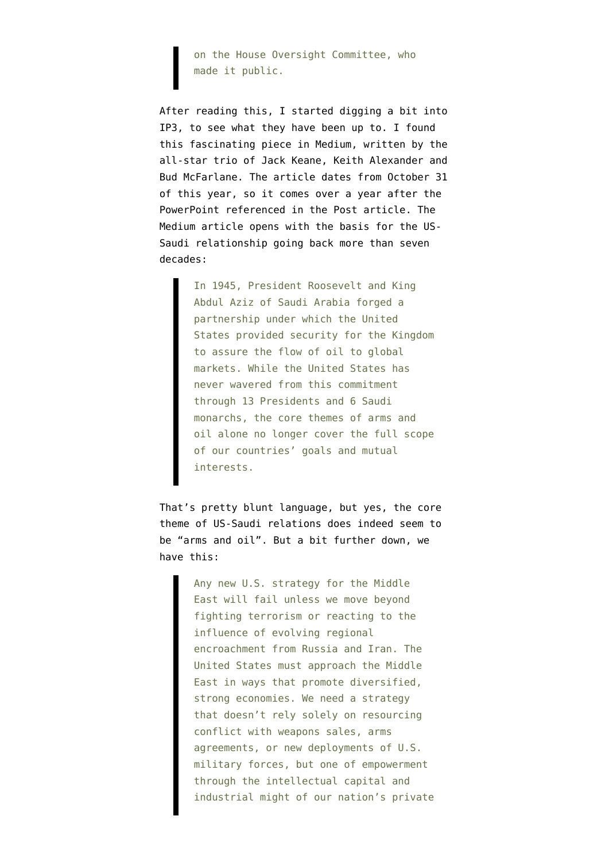on the House Oversight Committee, who made it public.

After reading this, I started digging a bit into IP3, to see what they have been up to. I found thi[s fascinating piece in Medium,](https://medium.com/@IP3Corporation/a-national-security-and-energy-strategy-for-the-middle-east-based-on-stability-not-conflict-f555bc2d641e) written by the all-star trio of Jack Keane, Keith Alexander and Bud McFarlane. The article dates from October 31 of this year, so it comes over a year after the PowerPoint referenced in the Post article. The Medium article opens with the basis for the US-Saudi relationship going back more than seven decades:

> In 1945, President Roosevelt and King Abdul Aziz of Saudi Arabia forged a partnership under which the United States provided security for the Kingdom to assure the flow of oil to global markets. While the United States has never wavered from this commitment through 13 Presidents and 6 Saudi monarchs, the core themes of arms and oil alone no longer cover the full scope of our countries' goals and mutual interests.

That's pretty blunt language, but yes, the core theme of US-Saudi relations does indeed seem to be "arms and oil". But a bit further down, we have this:

> Any new U.S. strategy for the Middle East will fail unless we move beyond fighting terrorism or reacting to the influence of evolving regional encroachment from Russia and Iran. The United States must approach the Middle East in ways that promote diversified, strong economies. We need a strategy that doesn't rely solely on resourcing conflict with weapons sales, arms agreements, or new deployments of U.S. military forces, but one of empowerment through the intellectual capital and industrial might of our nation's private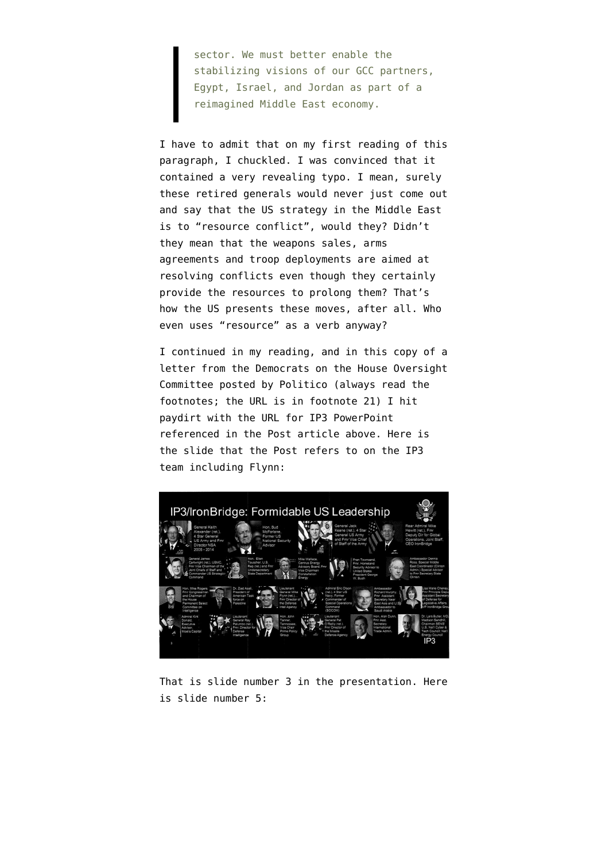sector. We must better enable the stabilizing visions of our GCC partners, Egypt, Israel, and Jordan as part of a reimagined Middle East economy.

I have to admit that on my first reading of this paragraph, I chuckled. I was convinced that it contained a very revealing typo. I mean, surely these retired generals would never just come out and say that the US strategy in the Middle East is to "resource conflict", would they? Didn't they mean that the weapons sales, arms agreements and troop deployments are aimed at resolving conflicts even though they certainly provide the resources to prolong them? That's how the US presents these moves, after all. Who even uses "resource" as a verb anyway?

I continued in my reading, and in this copy of a letter from the Democrats on the House Oversight Committee [posted by Politico](https://www.politico.com/f/?id=0000015f-2faa-d519-a57f-7fabfc1a0000) (always read the footnotes; the URL is in footnote 21) I hit paydirt with the [URL for IP3 PowerPoint](https://democrats-oversight.house.gov/sites/democrats.oversight.house.gov/files/documents/IP3%20Presentation%20to%20His%20Majesty%20King%20Salman%20Bin%20Abdul%20Aziz%20Aug%202016.pdf) referenced in the Post article above. Here is the slide that the Post refers to on the IP3 team including Flynn:



That is slide number 3 in the presentation. Here is slide number 5: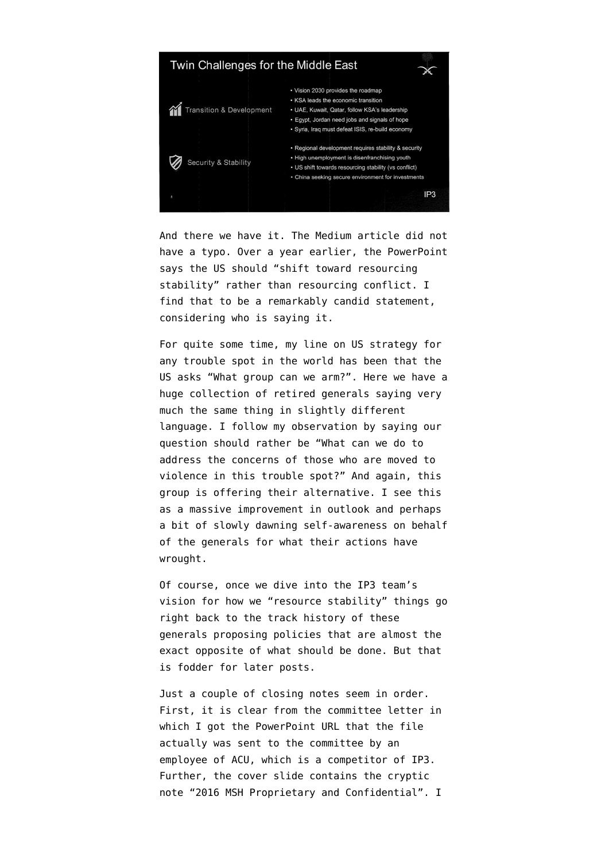

And there we have it. The Medium article did not have a typo. Over a year earlier, the PowerPoint says the US should "shift toward resourcing stability" rather than resourcing conflict. I find that to be a remarkably candid statement, considering who is saying it.

For quite some time, my line on US strategy for any trouble spot in the world has been that the US asks "What group can we arm?". Here we have a huge collection of retired generals saying very much the same thing in slightly different language. I follow my observation by saying our question should rather be "What can we do to address the concerns of those who are moved to violence in this trouble spot?" And again, this group is offering their alternative. I see this as a massive improvement in outlook and perhaps a bit of slowly dawning self-awareness on behalf of the generals for what their actions have wrought.

Of course, once we dive into the IP3 team's vision for how we "resource stability" things go right back to the track history of these generals proposing policies that are almost the exact opposite of what should be done. But that is fodder for later posts.

Just a couple of closing notes seem in order. First, it is clear from the committee letter in which I got the PowerPoint URL that the file actually was sent to the committee by an employee of ACU, which is a competitor of IP3. Further, the cover slide contains the cryptic note "2016 MSH Proprietary and Confidential". I